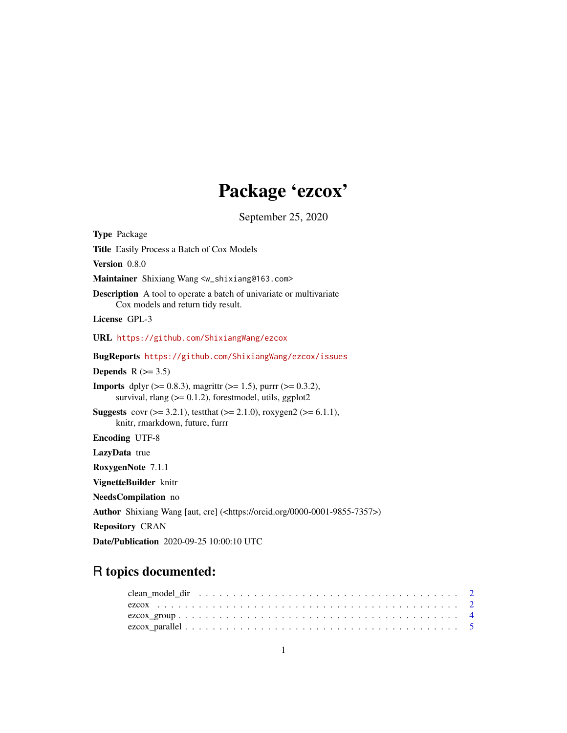# Package 'ezcox'

September 25, 2020

<span id="page-0-0"></span>

| <b>Type Package</b>                                                                                                                               |
|---------------------------------------------------------------------------------------------------------------------------------------------------|
| Title Easily Process a Batch of Cox Models                                                                                                        |
| Version 0.8.0                                                                                                                                     |
| Maintainer Shixiang Wang <w_shixiang@163.com></w_shixiang@163.com>                                                                                |
| <b>Description</b> A tool to operate a batch of univariate or multivariate<br>Cox models and return tidy result.                                  |
| License GPL-3                                                                                                                                     |
| URL https://github.com/ShixiangWang/ezcox                                                                                                         |
| <b>BugReports https://github.com/ShixiangWang/ezcox/issues</b>                                                                                    |
| Depends $R (=3.5)$                                                                                                                                |
| <b>Imports</b> dplyr ( $> = 0.8.3$ ), magnitr ( $> = 1.5$ ), purrr ( $> = 0.3.2$ ),<br>survival, rlang $(>= 0.1.2)$ , forestmodel, utils, ggplot2 |
| <b>Suggests</b> covr ( $> = 3.2.1$ ), test that ( $> = 2.1.0$ ), roxygen2 ( $> = 6.1.1$ ),<br>knitr, rmarkdown, future, furrr                     |
| <b>Encoding UTF-8</b>                                                                                                                             |
| LazyData true                                                                                                                                     |
| RoxygenNote 7.1.1                                                                                                                                 |
| VignetteBuilder knitr                                                                                                                             |
| NeedsCompilation no                                                                                                                               |
| <b>Author</b> Shixiang Wang [aut, cre] $(\text{thtps:}/\text{orcid.org}/0000-0001-9855-7357))$                                                    |
| <b>Repository CRAN</b>                                                                                                                            |
| <b>Date/Publication</b> 2020-09-25 10:00:10 UTC                                                                                                   |

# R topics documented: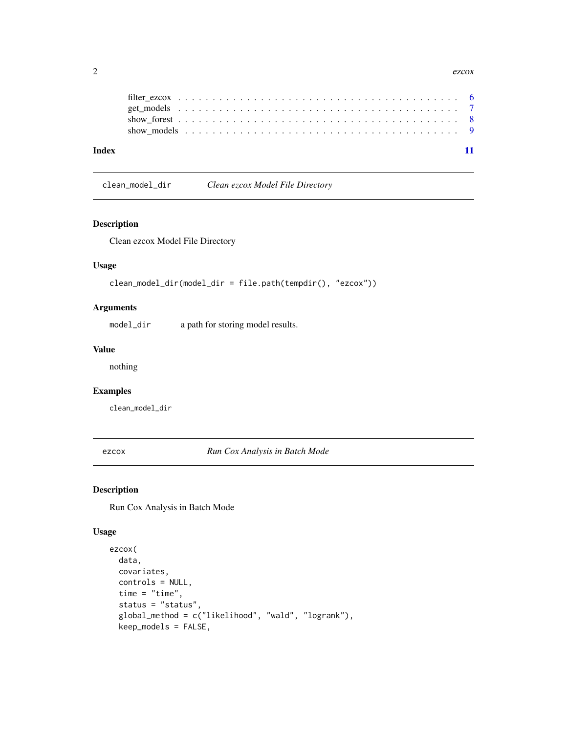<span id="page-1-0"></span>

| Index |  |  |  |  |  |  |  |  |  |  |  |  |  |  |  |  |  |  |  |  |
|-------|--|--|--|--|--|--|--|--|--|--|--|--|--|--|--|--|--|--|--|--|

# clean\_model\_dir *Clean ezcox Model File Directory*

# Description

Clean ezcox Model File Directory

### Usage

```
clean_model_dir(model_dir = file.path(tempdir(), "ezcox"))
```
#### Arguments

model\_dir a path for storing model results.

#### Value

nothing

#### Examples

clean\_model\_dir

<span id="page-1-1"></span>ezcox *Run Cox Analysis in Batch Mode*

#### Description

Run Cox Analysis in Batch Mode

#### Usage

```
ezcox(
 data,
 covariates,
 controls = NULL,
  time = "time",
  status = "status",
  global_method = c("likelihood", "wald", "logrank"),
 keep_models = FALSE,
```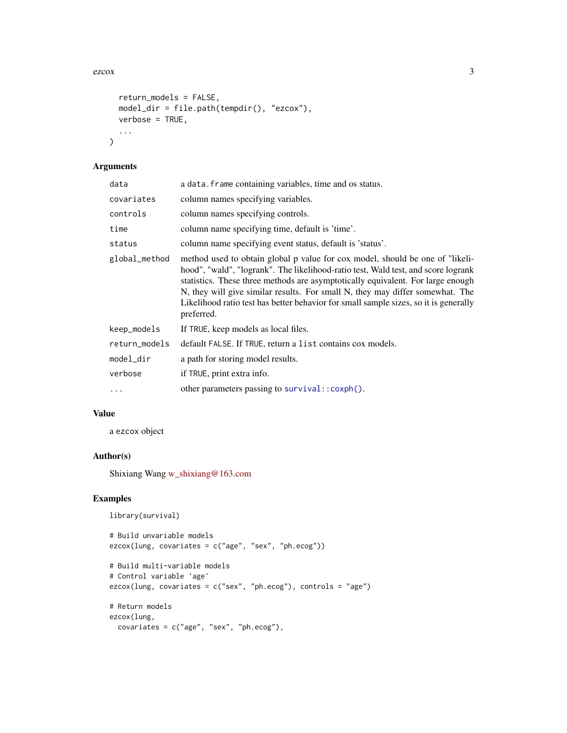<span id="page-2-0"></span> $e^{z}$  and  $\frac{3}{2}$ 

```
return_models = FALSE,
 model_dir = file.path(tempdir(), "ezcox"),
 verbose = TRUE,
  ...
\mathcal{L}
```
#### Arguments

| data          | a data. frame containing variables, time and os status.                                                                                                                                                                                                                                                                                                                                                                                      |
|---------------|----------------------------------------------------------------------------------------------------------------------------------------------------------------------------------------------------------------------------------------------------------------------------------------------------------------------------------------------------------------------------------------------------------------------------------------------|
| covariates    | column names specifying variables.                                                                                                                                                                                                                                                                                                                                                                                                           |
| controls      | column names specifying controls.                                                                                                                                                                                                                                                                                                                                                                                                            |
| time          | column name specifying time, default is 'time'.                                                                                                                                                                                                                                                                                                                                                                                              |
| status        | column name specifying event status, default is 'status'.                                                                                                                                                                                                                                                                                                                                                                                    |
| global_method | method used to obtain global p value for cox model, should be one of "likeli-<br>hood", "wald", "logrank". The likelihood-ratio test, Wald test, and score logrank<br>statistics. These three methods are asymptotically equivalent. For large enough<br>N, they will give similar results. For small N, they may differ somewhat. The<br>Likelihood ratio test has better behavior for small sample sizes, so it is generally<br>preferred. |
| keep_models   | If TRUE, keep models as local files.                                                                                                                                                                                                                                                                                                                                                                                                         |
| return_models | default FALSE. If TRUE, return a list contains cox models.                                                                                                                                                                                                                                                                                                                                                                                   |
| model_dir     | a path for storing model results.                                                                                                                                                                                                                                                                                                                                                                                                            |
| verbose       | if TRUE, print extra info.                                                                                                                                                                                                                                                                                                                                                                                                                   |
| $\ddots$      | other parameters passing to survival:: coxph().                                                                                                                                                                                                                                                                                                                                                                                              |

## Value

a ezcox object

### Author(s)

Shixiang Wang [w\\_shixiang@163.com](mailto:w_shixiang@163.com)

#### Examples

```
library(survival)
```

```
# Build unvariable models
ezcox(lung, covariates = c("age", "sex", "ph.ecog"))
# Build multi-variable models
# Control variable 'age'
ezcox(lung, covariates = c("sex", "ph.ecog"), controls = "age")
# Return models
ezcox(lung,
 covariates = c("age", "sex", "ph.ecog"),
```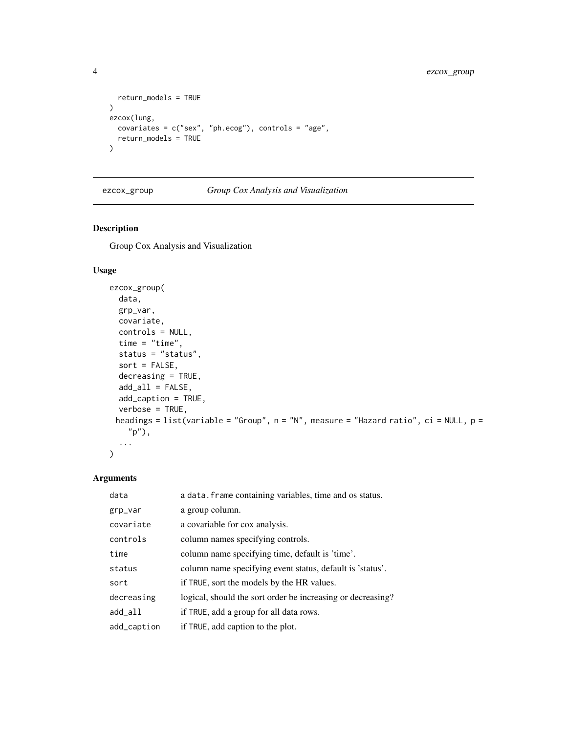```
return_models = TRUE
\mathcal{L}ezcox(lung,
  covariates = c("sex", "ph.ecog"), controls = "age",
  return_models = TRUE
\mathcal{L}
```
#### ezcox\_group *Group Cox Analysis and Visualization*

# Description

Group Cox Analysis and Visualization

### Usage

```
ezcox_group(
 data,
 grp_var,
 covariate,
 controls = NULL,
 time = "time",
  status = "status",
  sort = FALSE,
 decreasing = TRUE,
 add\_all = FALSE,add_caption = TRUE,
 verbose = TRUE,
 headings = list(variable = "Group", n = "N", measure = "Hazard ratio", ci = NULL, p =
    "p"),
  ...
\mathcal{L}
```

| data        | a data. frame containing variables, time and os status.     |
|-------------|-------------------------------------------------------------|
| grp_var     | a group column.                                             |
| covariate   | a covariable for cox analysis.                              |
| controls    | column names specifying controls.                           |
| time        | column name specifying time, default is 'time'.             |
| status      | column name specifying event status, default is 'status'.   |
| sort        | if TRUE, sort the models by the HR values.                  |
| decreasing  | logical, should the sort order be increasing or decreasing? |
| add_all     | if TRUE, add a group for all data rows.                     |
| add_caption | if TRUE, add caption to the plot.                           |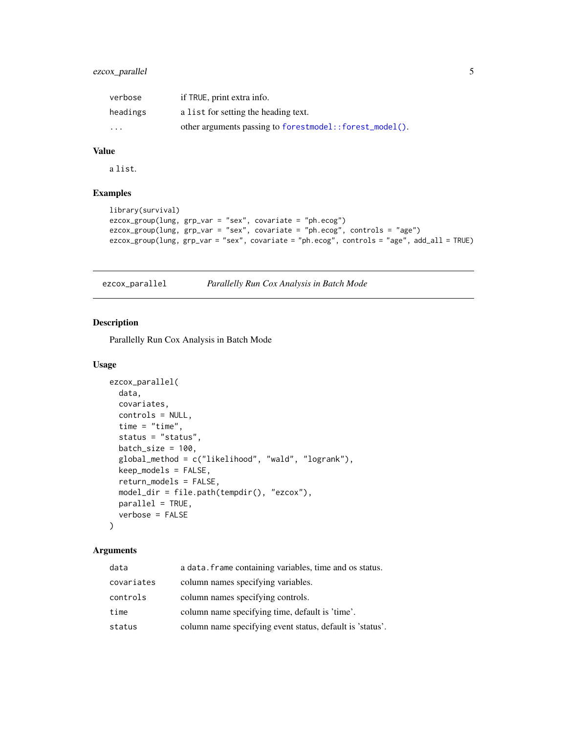# <span id="page-4-0"></span>ezcox\_parallel 5

| verbose  | if TRUE, print extra info.                              |
|----------|---------------------------------------------------------|
| headings | a list for setting the heading text.                    |
| $\cdots$ | other arguments passing to forestmodel::forest_model(). |

#### Value

a list.

## Examples

```
library(survival)
ezcox_group(lung, grp_var = "sex", covariate = "ph.ecog")
ezcox_group(lung, grp_var = "sex", covariate = "ph.ecog", controls = "age")
ezcox_group(lung, grp_var = "sex", covariate = "ph.ecog", controls = "age", add_all = TRUE)
```
ezcox\_parallel *Parallelly Run Cox Analysis in Batch Mode*

#### Description

Parallelly Run Cox Analysis in Batch Mode

#### Usage

```
ezcox_parallel(
 data,
 covariates,
 controls = NULL,
 time = "time",
  status = "status",
 batch_size = 100,global_method = c("likelihood", "wald", "logrank"),
 keep_models = FALSE,
  return_models = FALSE,
 model_dir = file.path(tempdir(), "ezcox"),
 parallel = TRUE,
 verbose = FALSE
)
```

| data       | a data. frame containing variables, time and os status.   |
|------------|-----------------------------------------------------------|
| covariates | column names specifying variables.                        |
| controls   | column names specifying controls.                         |
| time       | column name specifying time, default is 'time'.           |
| status     | column name specifying event status, default is 'status'. |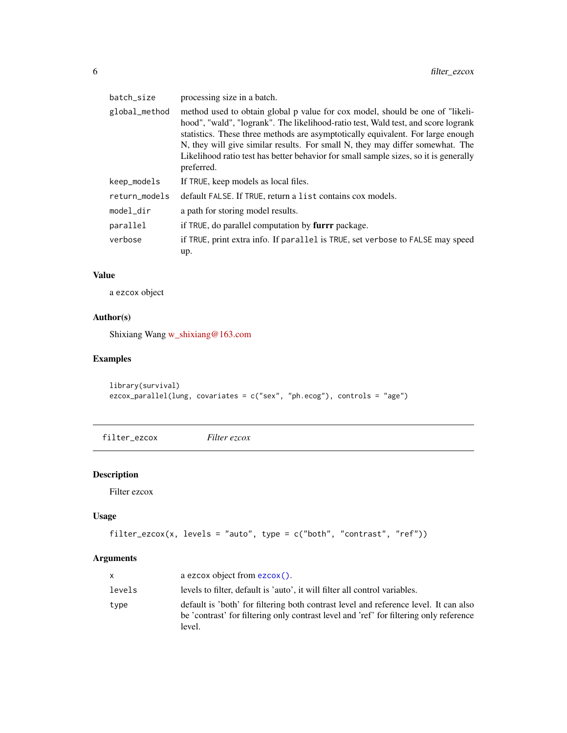<span id="page-5-0"></span>

| batch_size    | processing size in a batch.                                                                                                                                                                                                                                                                                                                                                                                                                  |
|---------------|----------------------------------------------------------------------------------------------------------------------------------------------------------------------------------------------------------------------------------------------------------------------------------------------------------------------------------------------------------------------------------------------------------------------------------------------|
| global_method | method used to obtain global p value for cox model, should be one of "likeli-<br>hood", "wald", "logrank". The likelihood-ratio test, Wald test, and score logrank<br>statistics. These three methods are asymptotically equivalent. For large enough<br>N, they will give similar results. For small N, they may differ somewhat. The<br>Likelihood ratio test has better behavior for small sample sizes, so it is generally<br>preferred. |
| keep_models   | If TRUE, keep models as local files.                                                                                                                                                                                                                                                                                                                                                                                                         |
| return_models | default FALSE. If TRUE, return a list contains cox models.                                                                                                                                                                                                                                                                                                                                                                                   |
| model_dir     | a path for storing model results.                                                                                                                                                                                                                                                                                                                                                                                                            |
| parallel      | if TRUE, do parallel computation by furrr package.                                                                                                                                                                                                                                                                                                                                                                                           |
| verbose       | if TRUE, print extra info. If parallel is TRUE, set verbose to FALSE may speed<br>up.                                                                                                                                                                                                                                                                                                                                                        |

## Value

a ezcox object

# Author(s)

Shixiang Wang [w\\_shixiang@163.com](mailto:w_shixiang@163.com)

# Examples

```
library(survival)
ezcox_parallel(lung, covariates = c("sex", "ph.ecog"), controls = "age")
```
filter\_ezcox *Filter ezcox*

# Description

Filter ezcox

# Usage

```
filter_ezcox(x, levels = "auto", type = c("both", "contrast", "ref"))
```

| X      | a ezcox object from ezcox().                                                                                                                                                             |
|--------|------------------------------------------------------------------------------------------------------------------------------------------------------------------------------------------|
| levels | levels to filter, default is 'auto', it will filter all control variables.                                                                                                               |
| type   | default is 'both' for filtering both contrast level and reference level. It can also<br>be 'contrast' for filtering only contrast level and 'ref' for filtering only reference<br>level. |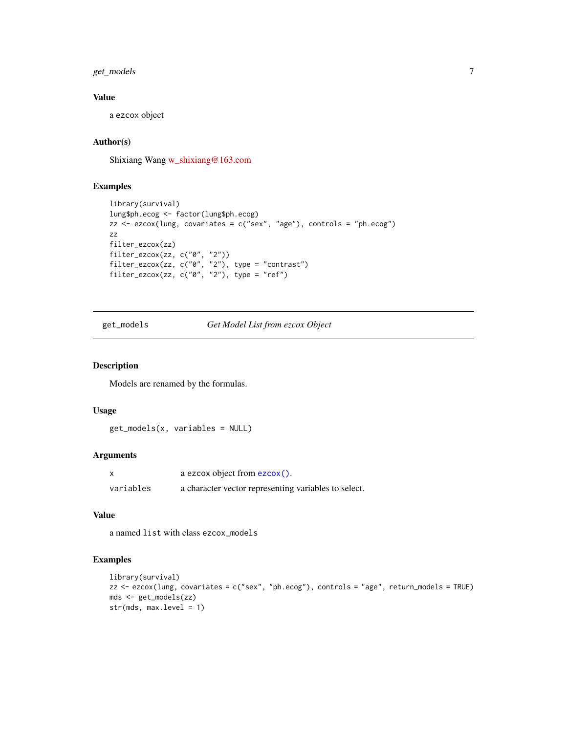<span id="page-6-0"></span>get\_models 7

#### Value

a ezcox object

# Author(s)

Shixiang Wang [w\\_shixiang@163.com](mailto:w_shixiang@163.com)

### Examples

```
library(survival)
lung$ph.ecog <- factor(lung$ph.ecog)
zz <- ezcox(lung, covariates = c("sex", "age"), controls = "ph.ecog")
zz
filter_ezcox(zz)
filter_ezcox(zz, c("0", "2"))
filter_ezcox(zz, c("0", "2"), type = "contrast")
filter_ezcox(zz, c("0", "2"), type = "ref")
```
<span id="page-6-1"></span>get\_models *Get Model List from ezcox Object*

#### Description

Models are renamed by the formulas.

#### Usage

get\_models(x, variables = NULL)

#### Arguments

|           | a ezcox object from ezcox().                         |
|-----------|------------------------------------------------------|
| variables | a character vector representing variables to select. |

# Value

a named list with class ezcox\_models

#### Examples

```
library(survival)
zz <- ezcox(lung, covariates = c("sex", "ph.ecog"), controls = "age", return_models = TRUE)
mds <- get_models(zz)
str(mds, max.level = 1)
```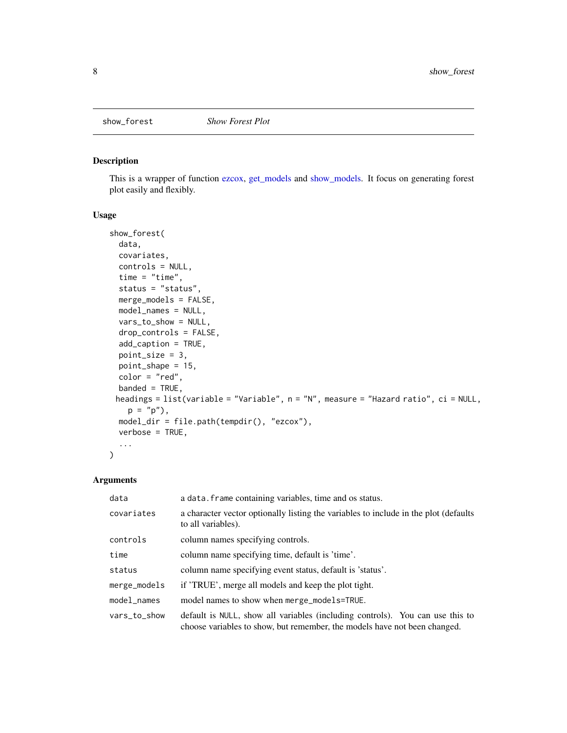<span id="page-7-0"></span>

#### Description

This is a wrapper of function [ezcox,](#page-1-1) [get\\_models](#page-6-1) and [show\\_models.](#page-8-1) It focus on generating forest plot easily and flexibly.

#### Usage

```
show_forest(
  data,
 covariates,
 controls = NULL,
  time = "time",
  status = "status",
 merge_models = FALSE,
 model_names = NULL,
 vars_to_show = NULL,
 drop_controls = FALSE,
  add_caption = TRUE,
 point_size = 3,
 point_shape = 15,
 color = "red",
 banded = TRUE,
 headings = list(variable = "Variable", n = "N", measure = "Hazard ratio", ci = NULL,
   p = "p"),
 model_dir = file.path(tempdir(), "ezcox"),
 verbose = TRUE,
  ...
)
```

| data         | a data. frame containing variables, time and os status.                                                                                                    |
|--------------|------------------------------------------------------------------------------------------------------------------------------------------------------------|
| covariates   | a character vector optionally listing the variables to include in the plot (defaults)<br>to all variables).                                                |
| controls     | column names specifying controls.                                                                                                                          |
| time         | column name specifying time, default is 'time'.                                                                                                            |
| status       | column name specifying event status, default is 'status'.                                                                                                  |
| merge_models | if 'TRUE', merge all models and keep the plot tight.                                                                                                       |
| model_names  | model names to show when merge_models=TRUE.                                                                                                                |
| vars_to_show | default is NULL, show all variables (including controls). You can use this to<br>choose variables to show, but remember, the models have not been changed. |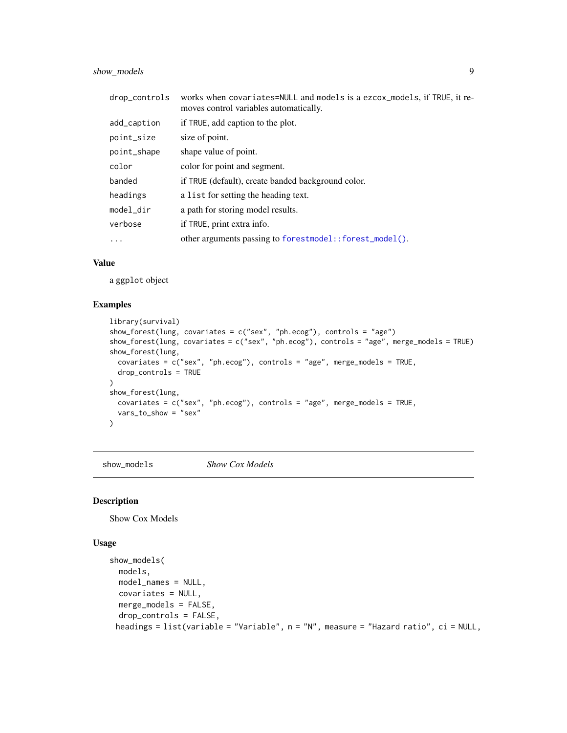<span id="page-8-0"></span>show\_models 9

| drop_controls | works when covariates=NULL and models is a ezcox_models, if TRUE, it re-<br>moves control variables automatically. |
|---------------|--------------------------------------------------------------------------------------------------------------------|
| add_caption   | if TRUE, add caption to the plot.                                                                                  |
| point_size    | size of point.                                                                                                     |
| point_shape   | shape value of point.                                                                                              |
| color         | color for point and segment.                                                                                       |
| banded        | if TRUE (default), create banded background color.                                                                 |
| headings      | a list for setting the heading text.                                                                               |
| model_dir     | a path for storing model results.                                                                                  |
| verbose       | if TRUE, print extra info.                                                                                         |
| .             | other arguments passing to forestmodel::forest_model().                                                            |

#### Value

a ggplot object

#### Examples

```
library(survival)
show_forest(lung, covariates = c("sex", "ph.ecog"), controls = "age")
show_forest(lung, covariates = c("sex", "ph.ecog"), controls = "age", merge_models = TRUE)
show_forest(lung,
  covariates = c("sex", "ph.ecog"), controls = "age", merge_models = TRUE,
 drop_controls = TRUE
)
show_forest(lung,
  covariates = c("sex", "ph.ecog"), controls = "age", merge_models = TRUE,
  vars_to_show = "sex"
\lambda
```
<span id="page-8-1"></span>show\_models *Show Cox Models*

#### Description

Show Cox Models

#### Usage

```
show_models(
 models,
 model_names = NULL,
 covariates = NULL,
 merge_models = FALSE,
 drop_controls = FALSE,
 headings = list(variable = "Variable", n = "N", measure = "Hazard ratio", ci = NULL,
```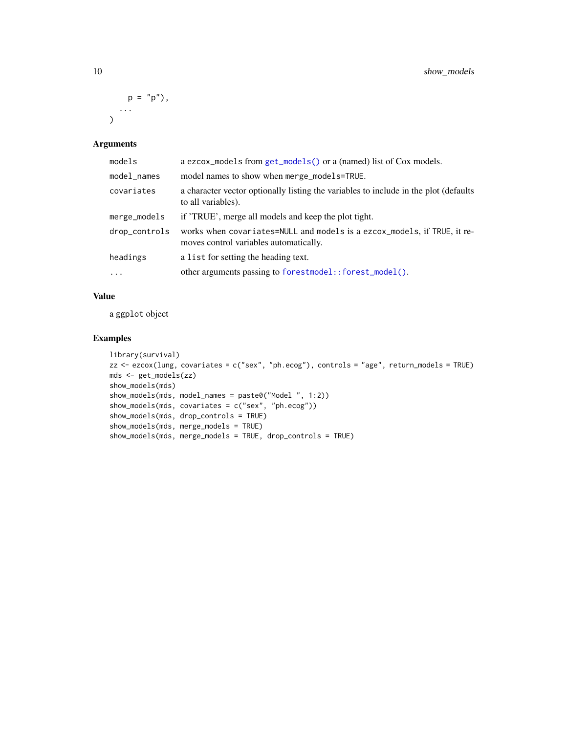<span id="page-9-0"></span>
$$
p = "p")
$$
,  
,...  
)

#### Arguments

| models        | a ezcox_models from get_models() or a (named) list of Cox models.                                                  |
|---------------|--------------------------------------------------------------------------------------------------------------------|
| model_names   | model names to show when merge_models=TRUE.                                                                        |
| covariates    | a character vector optionally listing the variables to include in the plot (defaults)<br>to all variables).        |
| merge_models  | if 'TRUE', merge all models and keep the plot tight.                                                               |
| drop_controls | works when covariates=NULL and models is a ezcox_models, if TRUE, it re-<br>moves control variables automatically. |
| headings      | a list for setting the heading text.                                                                               |
| $\ddots$ .    | other arguments passing to forestmodel::forest_model().                                                            |

### Value

a ggplot object

# Examples

```
library(survival)
zz <- ezcox(lung, covariates = c("sex", "ph.ecog"), controls = "age", return_models = TRUE)
mds <- get_models(zz)
show_models(mds)
show_models(mds, model_names = paste0("Model ", 1:2))
show_models(mds, covariates = c("sex", "ph.ecog"))
show_models(mds, drop_controls = TRUE)
show_models(mds, merge_models = TRUE)
show_models(mds, merge_models = TRUE, drop_controls = TRUE)
```